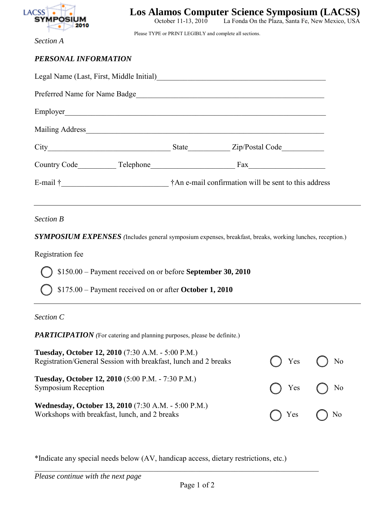

La Fonda On the Plaza, Santa Fe, New Mexico, USA

*Section A* 

Please TYPE or PRINT LEGIBLY and complete all sections.

| PERSONAL INFORMATION                     |  |  |  |  |  |  |
|------------------------------------------|--|--|--|--|--|--|
| Legal Name (Last. First. Middle Initial) |  |  |  |  |  |  |

| Legal Name (Last, First, Middle Initial)                          |              |                                                                  |
|-------------------------------------------------------------------|--------------|------------------------------------------------------------------|
| Preferred Name for Name Badge                                     |              |                                                                  |
| Employer                                                          |              |                                                                  |
| Mailing Address No. 1996. Note that the Mailing Address No. 1997. |              |                                                                  |
| City                                                              | <b>State</b> | Zip/Postal Code                                                  |
| Country Code                                                      |              | $\text{Fax}$                                                     |
| E-mail † 2008                                                     |              | <sup>†</sup> An e-mail confirmation will be sent to this address |

# *Section B*

*SYMPOSIUM EXPENSES (*Includes general symposium expenses, breakfast, breaks, working lunches, reception.)

## Registration fee

\$150.00 – Payment received on or before **September 30, 2010**

\$175.00 – Payment received on or after **October 1, 2010**

#### *Section C*

*PARTICIPATION* (For catering and planning purposes, please be definite.)

| <b>Tuesday, October 12, 2010</b> (7:30 A.M. - 5:00 P.M.)<br>Registration/General Session with breakfast, lunch and 2 breaks | $\bigcap$ Yes $\bigcap$ No |  |
|-----------------------------------------------------------------------------------------------------------------------------|----------------------------|--|
| <b>Tuesday, October 12, 2010</b> (5:00 P.M. - 7:30 P.M.)<br><b>Symposium Reception</b>                                      | $\bigcap$ Yes $\bigcap$ No |  |
| <b>Wednesday, October 13, 2010</b> (7:30 A.M. - 5:00 P.M.)<br>Workshops with breakfast, lunch, and 2 breaks                 | $\bigcap$ Yes $\bigcap$ No |  |

\*Indicate any special needs below (AV, handicap access, dietary restrictions, etc.)

 $\_$  , and the set of the set of the set of the set of the set of the set of the set of the set of the set of the set of the set of the set of the set of the set of the set of the set of the set of the set of the set of th